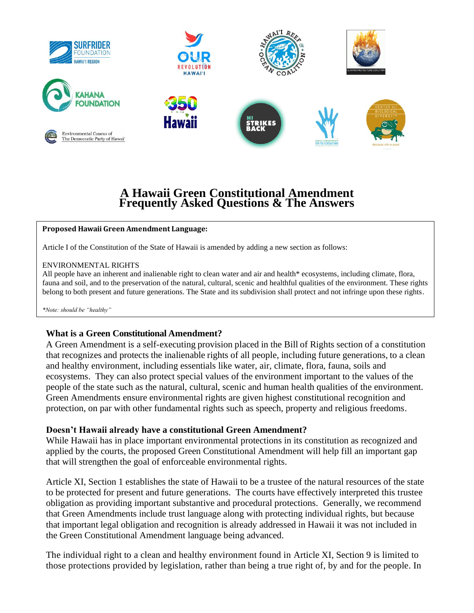

# **A Hawaii Green Constitutional Amendment Frequently Asked Questions & The Answers**

#### **Proposed Hawaii Green Amendment Language:**

Article I of the Constitution of the State of Hawaii is amended by adding a new section as follows:

#### ENVIRONMENTAL RIGHTS

All people have an inherent and inalienable right to clean water and air and health\* ecosystems, including climate, flora, fauna and soil, and to the preservation of the natural, cultural, scenic and healthful qualities of the environment. These rights belong to both present and future generations. The State and its subdivision shall protect and not infringe upon these rights.

*\*Note: should be "healthy"*

#### **What is a Green Constitutional Amendment?**

A Green Amendment is a self-executing provision placed in the Bill of Rights section of a constitution that recognizes and protects the inalienable rights of all people, including future generations, to a clean and healthy environment, including essentials like water, air, climate, flora, fauna, soils and ecosystems. They can also protect special values of the environment important to the values of the people of the state such as the natural, cultural, scenic and human health qualities of the environment. Green Amendments ensure environmental rights are given highest constitutional recognition and protection, on par with other fundamental rights such as speech, property and religious freedoms.

#### **Doesn't Hawaii already have a constitutional Green Amendment?**

While Hawaii has in place important environmental protections in its constitution as recognized and applied by the courts, the proposed Green Constitutional Amendment will help fill an important gap that will strengthen the goal of enforceable environmental rights.

Article XI, Section 1 establishes the state of Hawaii to be a trustee of the natural resources of the state to be protected for present and future generations. The courts have effectively interpreted this trustee obligation as providing important substantive and procedural protections. Generally, we recommend that Green Amendments include trust language along with protecting individual rights, but because that important legal obligation and recognition is already addressed in Hawaii it was not included in the Green Constitutional Amendment language being advanced.

The individual right to a clean and healthy environment found in Article XI, Section 9 is limited to those protections provided by legislation, rather than being a true right of, by and for the people. In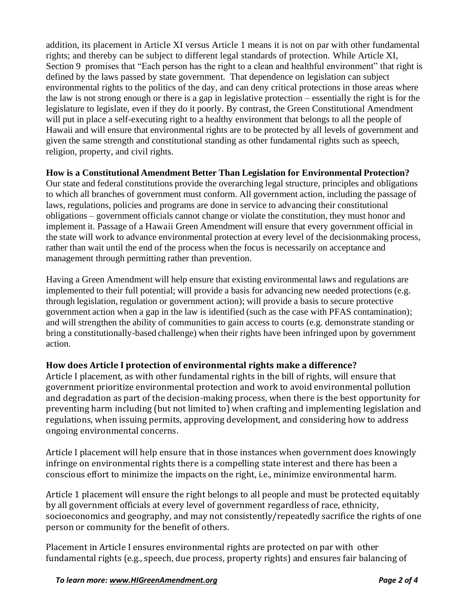addition, its placement in Article XI versus Article 1 means it is not on par with other fundamental rights; and thereby can be subject to different legal standards of protection. While Article XI, Section 9 promises that "Each person has the right to a clean and healthful environment" that right is defined by the laws passed by state government. That dependence on legislation can subject environmental rights to the politics of the day, and can deny critical protections in those areas where the law is not strong enough or there is a gap in legislative protection – essentially the right is for the legislature to legislate, even if they do it poorly. By contrast, the Green Constitutional Amendment will put in place a self-executing right to a healthy environment that belongs to all the people of Hawaii and will ensure that environmental rights are to be protected by all levels of government and given the same strength and constitutional standing as other fundamental rights such as speech, religion, property, and civil rights.

### **How is a Constitutional Amendment Better Than Legislation for Environmental Protection?**

Our state and federal constitutions provide the overarching legal structure, principles and obligations to which all branches of government must conform. All government action, including the passage of laws, regulations, policies and programs are done in service to advancing their constitutional obligations – government officials cannot change or violate the constitution, they must honor and implement it. Passage of a Hawaii Green Amendment will ensure that every government official in the state will work to advance environmental protection at every level of the decisionmaking process, rather than wait until the end of the process when the focus is necessarily on acceptance and management through permitting rather than prevention.

Having a Green Amendment will help ensure that existing environmental laws and regulations are implemented to their full potential; will provide a basis for advancing new needed protections (e.g. through legislation, regulation or government action); will provide a basis to secure protective government action when a gap in the law is identified (such as the case with PFAS contamination); and will strengthen the ability of communities to gain access to courts (e.g. demonstrate standing or bring a constitutionally-based challenge) when their rights have been infringed upon by government action.

# **How does Article I protection of environmental rights make a difference?**

Article I placement, as with other fundamental rights in the bill of rights, will ensure that government prioritize environmental protection and work to avoid environmental pollution and degradation as part of the decision-making process, when there is the best opportunity for preventing harm including (but not limited to) when crafting and implementing legislation and regulations, when issuing permits, approving development, and considering how to address ongoing environmental concerns.

Article I placement will help ensure that in those instances when government does knowingly infringe on environmental rights there is a compelling state interest and there has been a conscious effort to minimize the impacts on the right, i.e., minimize environmental harm.

Article 1 placement will ensure the right belongs to all people and must be protected equitably by all government officials at every level of government regardless of race, ethnicity, socioeconomics and geography, and may not consistently/repeatedly sacrifice the rights of one person or community for the benefit of others.

Placement in Article I ensures environmental rights are protected on par with other fundamental rights (e.g., speech, due process, property rights) and ensures fair balancing of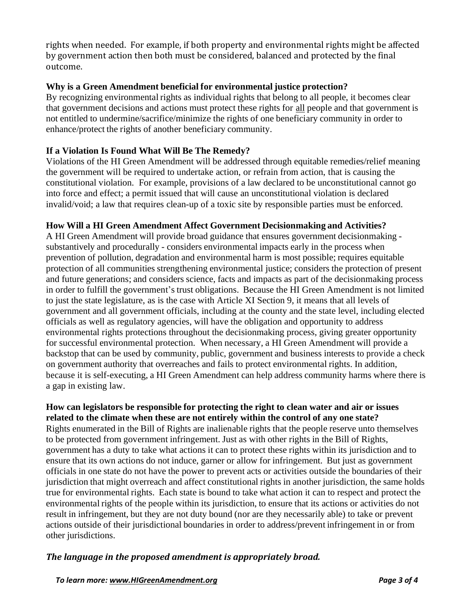rights when needed. For example, if both property and environmental rights might be affected by government action then both must be considered, balanced and protected by the final outcome.

### **Why is a Green Amendment beneficial for environmental justice protection?**

By recognizing environmental rights as individual rights that belong to all people, it becomes clear that government decisions and actions must protect these rights for all people and that government is not entitled to undermine/sacrifice/minimize the rights of one beneficiary community in order to enhance/protect the rights of another beneficiary community.

### **If a Violation Is Found What Will Be The Remedy?**

Violations of the HI Green Amendment will be addressed through equitable remedies/relief meaning the government will be required to undertake action, or refrain from action, that is causing the constitutional violation. For example, provisions of a law declared to be unconstitutional cannot go into force and effect; a permit issued that will cause an unconstitutional violation is declared invalid/void; a law that requires clean-up of a toxic site by responsible parties must be enforced.

### **How Will a HI Green Amendment Affect Government Decisionmaking and Activities?**

A HI Green Amendment will provide broad guidance that ensures government decisionmaking substantively and procedurally - considers environmental impacts early in the process when prevention of pollution, degradation and environmental harm is most possible; requires equitable protection of all communities strengthening environmental justice; considers the protection of present and future generations; and considers science, facts and impacts as part of the decisionmaking process in order to fulfill the government's trust obligations. Because the HI Green Amendment is not limited to just the state legislature, as is the case with Article XI Section 9, it means that all levels of government and all government officials, including at the county and the state level, including elected officials as well as regulatory agencies, will have the obligation and opportunity to address environmental rights protections throughout the decisionmaking process, giving greater opportunity for successful environmental protection. When necessary, a HI Green Amendment will provide a backstop that can be used by community, public, government and business interests to provide a check on government authority that overreaches and fails to protect environmental rights. In addition, because it is self-executing, a HI Green Amendment can help address community harms where there is a gap in existing law.

#### **How can legislators be responsible for protecting the right to clean water and air or issues related to the climate when these are not entirely within the control of any one state?**

Rights enumerated in the Bill of Rights are inalienable rights that the people reserve unto themselves to be protected from government infringement. Just as with other rights in the Bill of Rights, government has a duty to take what actions it can to protect these rights within its jurisdiction and to ensure that its own actions do not induce, garner or allow for infringement. But just as government officials in one state do not have the power to prevent acts or activities outside the boundaries of their jurisdiction that might overreach and affect constitutional rights in another jurisdiction, the same holds true for environmental rights. Each state is bound to take what action it can to respect and protect the environmental rights of the people within its jurisdiction, to ensure that its actions or activities do not result in infringement, but they are not duty bound (nor are they necessarily able) to take or prevent actions outside of their jurisdictional boundaries in order to address/prevent infringement in or from other jurisdictions.

# *The language in the proposed amendment is appropriately broad.*